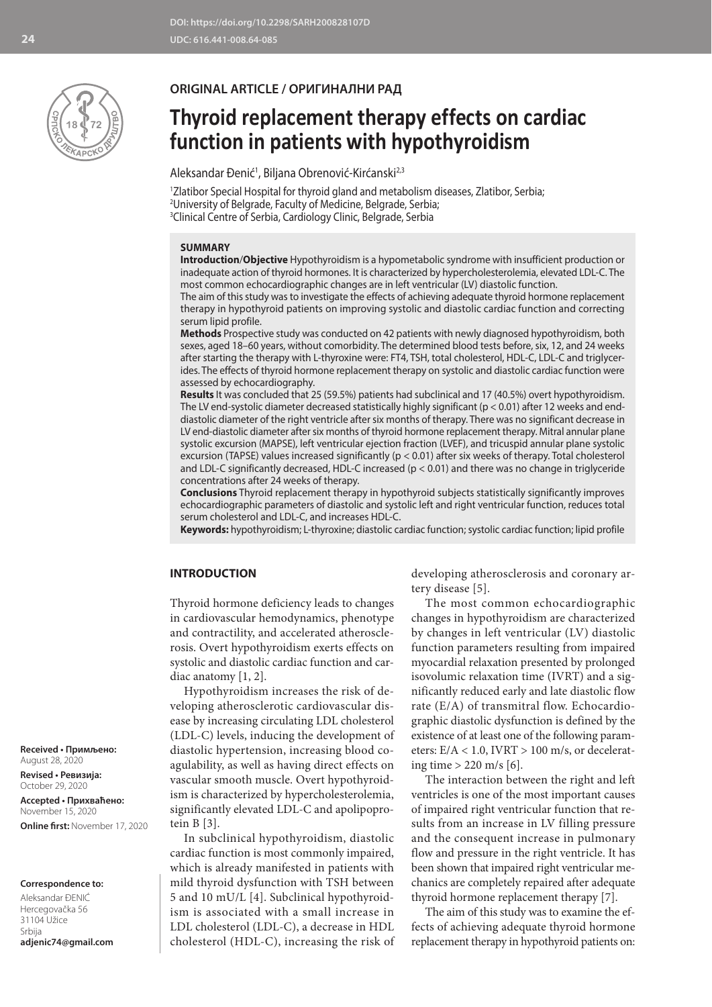

#### **ORIGINAL ARTICLE / ОРИГИНАЛНИ РАД**

# **Thyroid replacement therapy effects on cardiac function in patients with hypothyroidism**

Aleksandar Đenić<sup>1</sup>, Biljana Obrenović-Kirćanski<sup>2,3</sup>

1 Zlatibor Special Hospital for thyroid gland and metabolism diseases, Zlatibor, Serbia; 2 University of Belgrade, Faculty of Medicine, Belgrade, Serbia; 3 Clinical Centre of Serbia, Cardiology Clinic, Belgrade, Serbia

#### **SUMMARY**

**Introduction**/**Objective** Hypothyroidism is a hypometabolic syndrome with insufficient production or inadequate action of thyroid hormones. It is characterized by hypercholesterolemia, elevated LDL-C. The most common echocardiographic changes are in left ventricular (LV) diastolic function.

The aim of this study was to investigate the effects of achieving adequate thyroid hormone replacement therapy in hypothyroid patients on improving systolic and diastolic cardiac function and correcting serum lipid profile.

**Methods** Prospective study was conducted on 42 patients with newly diagnosed hypothyroidism, both sexes, aged 18–60 years, without comorbidity. The determined blood tests before, six, 12, and 24 weeks after starting the therapy with L-thyroxine were: FT4, TSH, total cholesterol, HDL-C, LDL-C and triglycerides. The effects of thyroid hormone replacement therapy on systolic and diastolic cardiac function were assessed by echocardiography.

**Results** It was concluded that 25 (59.5%) patients had subclinical and 17 (40.5%) overt hypothyroidism. The LV end-systolic diameter decreased statistically highly significant ( $p < 0.01$ ) after 12 weeks and enddiastolic diameter of the right ventricle after six months of therapy. There was no significant decrease in LV end-diastolic diameter after six months of thyroid hormone replacement therapy. Mitral annular plane systolic excursion (MAPSE), left ventricular ejection fraction (LVEF), and tricuspid annular plane systolic excursion (TAPSE) values increased significantly (p < 0.01) after six weeks of therapy. Total cholesterol and LDL-C significantly decreased, HDL-C increased (p < 0.01) and there was no change in triglyceride concentrations after 24 weeks of therapy.

**Conclusions** Thyroid replacement therapy in hypothyroid subjects statistically significantly improves echocardiographic parameters of diastolic and systolic left and right ventricular function, reduces total serum cholesterol and LDL-C, and increases HDL-C.

**Keywords:** hypothyroidism; L-thyroxine; diastolic cardiac function; systolic cardiac function; lipid profile

#### **INTRODUCTION**

Thyroid hormone deficiency leads to changes in cardiovascular hemodynamics, phenotype and contractility, and accelerated atherosclerosis. Overt hypothyroidism exerts effects on systolic and diastolic cardiac function and cardiac anatomy [1, 2].

Hypothyroidism increases the risk of developing atherosclerotic cardiovascular disease by increasing circulating LDL cholesterol (LDL-C) levels, inducing the development of diastolic hypertension, increasing blood coagulability, as well as having direct effects on vascular smooth muscle. Overt hypothyroidism is characterized by hypercholesterolemia, significantly elevated LDL-C and apolipoprotein B [3].

In subclinical hypothyroidism, diastolic cardiac function is most commonly impaired, which is already manifested in patients with mild thyroid dysfunction with TSH between 5 and 10 mU/L [4]. Subclinical hypothyroidism is associated with a small increase in LDL cholesterol (LDL-C), a decrease in HDL cholesterol (HDL-C), increasing the risk of developing atherosclerosis and coronary artery disease [5].

The most common echocardiographic changes in hypothyroidism are characterized by changes in left ventricular (LV) diastolic function parameters resulting from impaired myocardial relaxation presented by prolonged isovolumic relaxation time (IVRT) and a significantly reduced early and late diastolic flow rate (E/A) of transmitral flow. Echocardiographic diastolic dysfunction is defined by the existence of at least one of the following parameters: E/A < 1.0, IVRT > 100 m/s, or decelerating time > 220 m/s [6].

The interaction between the right and left ventricles is one of the most important causes of impaired right ventricular function that results from an increase in LV filling pressure and the consequent increase in pulmonary flow and pressure in the right ventricle. It has been shown that impaired right ventricular mechanics are completely repaired after adequate thyroid hormone replacement therapy [7].

The aim of this study was to examine the effects of achieving adequate thyroid hormone replacement therapy in hypothyroid patients on:

**Received • Примљено:**  August 28, 2020

**Revised • Ревизија:**  October 29, 2020 **Accepted • Прихваћено:** November 15, 2020 **Online first:** November 17, 2020

#### **Correspondence to:**

Aleksandar ĐENIĆ Hercegovačka 56 31104 Užice Srbija **adjenic74@gmail.com**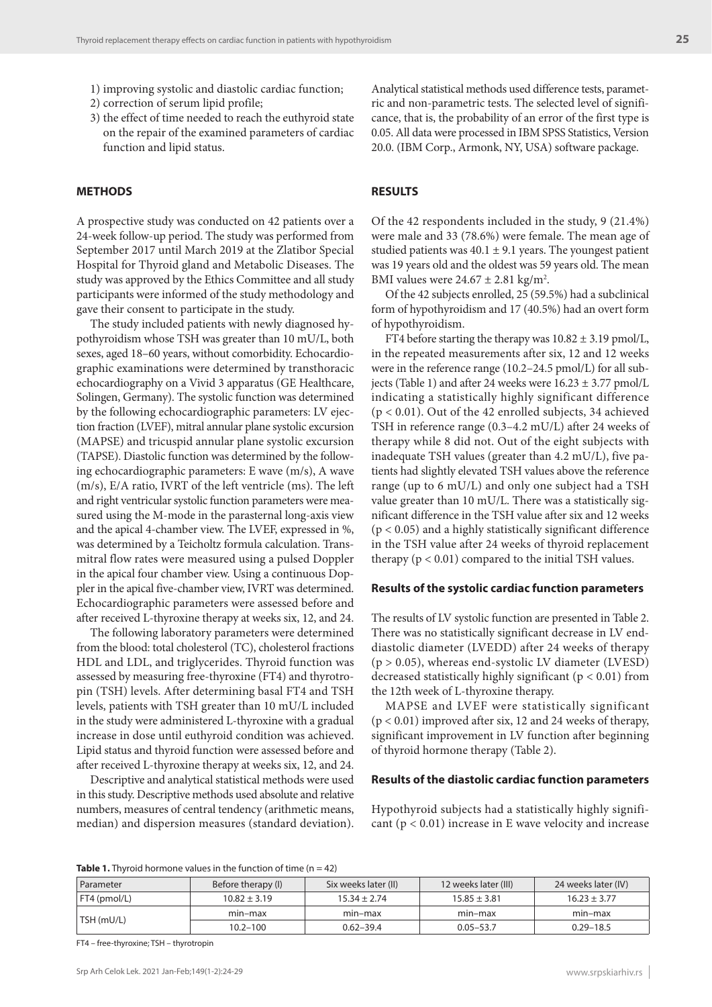- 1) improving systolic and diastolic cardiac function;
- 2) correction of serum lipid profile;
- 3) the effect of time needed to reach the euthyroid state on the repair of the examined parameters of cardiac function and lipid status.

#### **METHODS**

A prospective study was conducted on 42 patients over a 24-week follow-up period. The study was performed from September 2017 until March 2019 at the Zlatibor Special Hospital for Thyroid gland and Metabolic Diseases. The study was approved by the Ethics Committee and all study participants were informed of the study methodology and gave their consent to participate in the study.

The study included patients with newly diagnosed hypothyroidism whose TSH was greater than 10 mU/L, both sexes, aged 18–60 years, without comorbidity. Echocardiographic examinations were determined by transthoracic echocardiography on a Vivid 3 apparatus (GE Healthcare, Solingen, Germany). The systolic function was determined by the following echocardiographic parameters: LV ejection fraction (LVEF), mitral annular plane systolic excursion (MAPSE) and tricuspid annular plane systolic excursion (TAPSE). Diastolic function was determined by the following echocardiographic parameters: E wave (m/s), A wave (m/s), E/A ratio, IVRT of the left ventricle (ms). The left and right ventricular systolic function parameters were measured using the M-mode in the parasternal long-axis view and the apical 4-chamber view. The LVEF, expressed in %, was determined by a Teicholtz formula calculation. Transmitral flow rates were measured using a pulsed Doppler in the apical four chamber view. Using a continuous Doppler in the apical five-chamber view, IVRT was determined. Echocardiographic parameters were assessed before and after received L-thyroxine therapy at weeks six, 12, and 24.

The following laboratory parameters were determined from the blood: total cholesterol (TC), cholesterol fractions HDL and LDL, and triglycerides. Thyroid function was assessed by measuring free-thyroxine (FT4) and thyrotropin (TSH) levels. After determining basal FT4 and TSH levels, patients with TSH greater than 10 mU/L included in the study were administered L-thyroxine with a gradual increase in dose until euthyroid condition was achieved. Lipid status and thyroid function were assessed before and after received L-thyroxine therapy at weeks six, 12, and 24.

Descriptive and analytical statistical methods were used in this study. Descriptive methods used absolute and relative numbers, measures of central tendency (arithmetic means, median) and dispersion measures (standard deviation). Analytical statistical methods used difference tests, parametric and non-parametric tests. The selected level of significance, that is, the probability of an error of the first type is 0.05. All data were processed in IBM SPSS Statistics, Version 20.0. (IBM Corp., Armonk, NY, USA) software package.

#### **RESULTS**

Of the 42 respondents included in the study, 9 (21.4%) were male and 33 (78.6%) were female. The mean age of studied patients was  $40.1 \pm 9.1$  years. The youngest patient was 19 years old and the oldest was 59 years old. The mean BMI values were  $24.67 \pm 2.81$  kg/m<sup>2</sup>.

Of the 42 subjects enrolled, 25 (59.5%) had a subclinical form of hypothyroidism and 17 (40.5%) had an overt form of hypothyroidism.

FT4 before starting the therapy was  $10.82 \pm 3.19$  pmol/L, in the repeated measurements after six, 12 and 12 weeks were in the reference range (10.2–24.5 pmol/L) for all subjects (Table 1) and after 24 weeks were 16.23 ± 3.77 pmol/L indicating a statistically highly significant difference (p < 0.01). Out of the 42 enrolled subjects, 34 achieved TSH in reference range (0.3–4.2 mU/L) after 24 weeks of therapy while 8 did not. Out of the eight subjects with inadequate TSH values (greater than 4.2 mU/L), five patients had slightly elevated TSH values above the reference range (up to 6 mU/L) and only one subject had a TSH value greater than 10 mU/L. There was a statistically significant difference in the TSH value after six and 12 weeks  $(p < 0.05)$  and a highly statistically significant difference in the TSH value after 24 weeks of thyroid replacement therapy  $(p < 0.01)$  compared to the initial TSH values.

#### **Results of the systolic cardiac function parameters**

The results of LV systolic function are presented in Table 2. There was no statistically significant decrease in LV enddiastolic diameter (LVEDD) after 24 weeks of therapy (p > 0.05), whereas end-systolic LV diameter (LVESD) decreased statistically highly significant ( $p < 0.01$ ) from the 12th week of L-thyroxine therapy.

MAPSE and LVEF were statistically significant (p < 0.01) improved after six, 12 and 24 weeks of therapy, significant improvement in LV function after beginning of thyroid hormone therapy (Table 2).

#### **Results of the diastolic cardiac function parameters**

Hypothyroid subjects had a statistically highly significant ( $p < 0.01$ ) increase in E wave velocity and increase

**Table 1.** Thyroid hormone values in the function of time (n = 42)

| Parameter    | Before therapy (I) | Six weeks later (II) | 12 weeks later (III) | 24 weeks later (IV) |
|--------------|--------------------|----------------------|----------------------|---------------------|
| FT4 (pmol/L) | $10.82 \pm 3.19$   | $15.34 \pm 2.74$     | $15.85 \pm 3.81$     | $16.23 \pm 3.77$    |
| TSH (mU/L)   | min-max            | min-max              | min-max              | min-max             |
|              | $10.2 - 100$       | $0.62 - 39.4$        | $0.05 - 53.7$        | $0.29 - 18.5$       |

FT4 – free-thyroxine; TSH – thyrotropin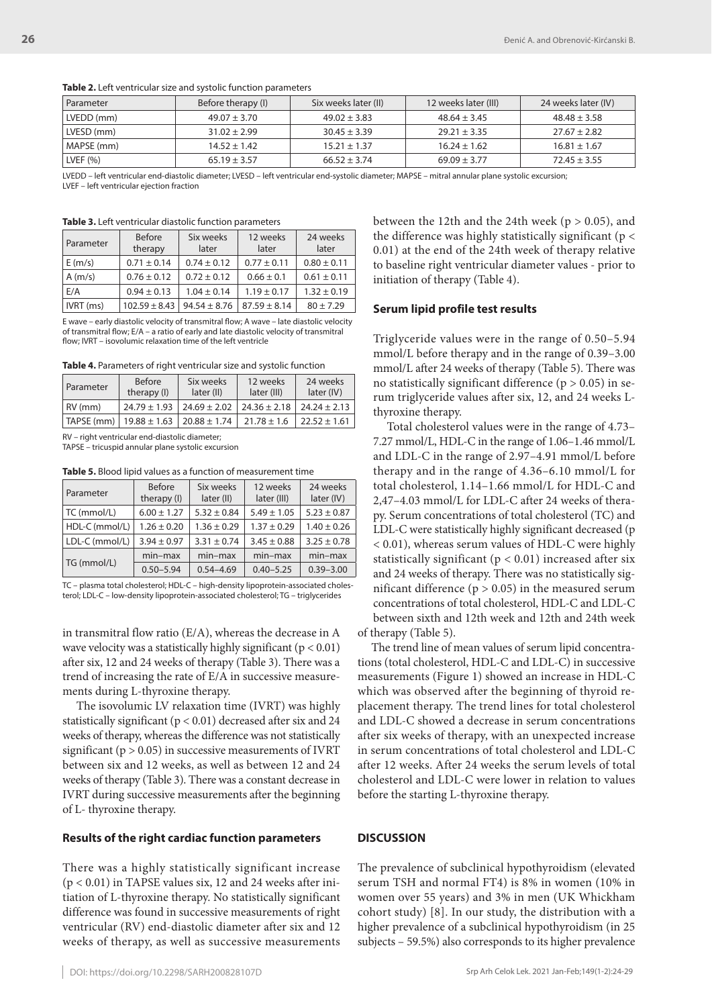LVEF – left ventricular ejection fraction

**Table 3.** Left ventricular diastolic function parameters

**Table 2.** Left ventricular size and systolic function parameters

Parameter Before therapy (I) Six weeks later (II) 12 weeks later (III) 24 weeks later (IV) LVEDD (mm) 49.07 ± 3.70 49.02 ± 3.83 48.64 ± 3.45 48.48 ± 3.58 LVESD (mm) 31.02 ± 2.99 30.45 ± 3.39 29.21 ± 3.35 27.67 ± 2.82 MAPSE (mm) 14.52 ± 1.42 15.21 ± 1.37 16.24 ± 1.62 16.81 ± 1.67 LVEF (%) 65.19 ± 3.57 66.52 ± 3.74 69.09 ± 3.77 72.45 ± 3.55 LVEDD – left ventricular end-diastolic diameter; LVESD – left ventricular end-systolic diameter; MAPSE – mitral annular plane systolic excursion;

| Parameter   | <b>Before</b><br>therapy | Six weeks<br>later | 12 weeks<br>later | 24 weeks<br>later |
|-------------|--------------------------|--------------------|-------------------|-------------------|
| E(m/s)      | $0.71 \pm 0.14$          | $0.74 \pm 0.12$    | $0.77 \pm 0.11$   | $0.80 \pm 0.11$   |
| A(m/s)      | $0.76 \pm 0.12$          | $0.72 \pm 0.12$    | $0.66 \pm 0.1$    | $0.61 \pm 0.11$   |
| E/A         | $0.94 \pm 0.13$          | $1.04 \pm 0.14$    | $1.19 \pm 0.17$   | $1.32 \pm 0.19$   |
| $IVRT$ (ms) | $102.59 \pm 8.43$        | $94.54 \pm 8.76$   | $87.59 \pm 8.14$  | $80 + 7.29$       |

E wave – early diastolic velocity of transmitral flow; A wave – late diastolic velocity of transmitral flow; E/A – a ratio of early and late diastolic velocity of transmitral flow; IVRT – isovolumic relaxation time of the left ventricle

| Table 4. Parameters of right ventricular size and systolic function |  |  |
|---------------------------------------------------------------------|--|--|
|---------------------------------------------------------------------|--|--|

| Parameter          | <b>Before</b><br>therapy (I)        | Six weeks<br>later (II)             | 12 weeks<br>later (III) | 24 weeks<br>later (IV) |
|--------------------|-------------------------------------|-------------------------------------|-------------------------|------------------------|
| $RV$ (mm)          |                                     | $24.79 \pm 1.93$   24.69 $\pm$ 2.02 | $24.36 \pm 2.18$        | $24.24 \pm 2.13$       |
| $ $ TAPSE (mm) $ $ | $19.88 \pm 1.63$   20.88 $\pm$ 1.74 |                                     | $21.78 \pm 1.6$         | $22.52 \pm 1.61$       |

RV – right ventricular end-diastolic diameter;

TAPSE – tricuspid annular plane systolic excursion

**Table 5.** Blood lipid values as a function of measurement time

| Parameter      | <b>Before</b><br>therapy (I) | Six weeks<br>later (II) | 12 weeks<br>later (III) | 24 weeks<br>later (IV) |
|----------------|------------------------------|-------------------------|-------------------------|------------------------|
| TC (mmol/L)    | $6.00 \pm 1.27$              | $5.32 \pm 0.84$         | $5.49 \pm 1.05$         | $5.23 \pm 0.87$        |
| HDL-C (mmol/L) | $1.26 \pm 0.20$              | $1.36 \pm 0.29$         | $1.37 \pm 0.29$         | $1.40 \pm 0.26$        |
| LDL-C (mmol/L) | $3.94 \pm 0.97$              | $3.31 \pm 0.74$         | $3.45 \pm 0.88$         | $3.25 \pm 0.78$        |
| TG (mmol/L)    | $min-max$                    | $min-max$               | $min-max$               | $min-max$              |
|                | $0.50 - 5.94$                | $0.54 - 4.69$           | $0.40 - 5.25$           | $0.39 - 3.00$          |

TC – plasma total cholesterol; HDL-C – high-density lipoprotein-associated cholesterol; LDL-C – low-density lipoprotein-associated cholesterol; TG – triglycerides

in transmitral flow ratio (E/A), whereas the decrease in A wave velocity was a statistically highly significant ( $p < 0.01$ ) after six, 12 and 24 weeks of therapy (Table 3). There was a trend of increasing the rate of E/A in successive measurements during L-thyroxine therapy.

The isovolumic LV relaxation time (IVRT) was highly statistically significant (p < 0.01) decreased after six and 24 weeks of therapy, whereas the difference was not statistically significant ( $p > 0.05$ ) in successive measurements of IVRT between six and 12 weeks, as well as between 12 and 24 weeks of therapy (Table 3). There was a constant decrease in IVRT during successive measurements after the beginning of L- thyroxine therapy.

#### **Results of the right cardiac function parameters**

There was a highly statistically significant increase (p < 0.01) in TAPSE values six, 12 and 24 weeks after initiation of L-thyroxine therapy. No statistically significant difference was found in successive measurements of right ventricular (RV) end-diastolic diameter after six and 12 weeks of therapy, as well as successive measurements between the 12th and the 24th week ( $p > 0.05$ ), and the difference was highly statistically significant ( $p <$ 0.01) at the end of the 24th week of therapy relative to baseline right ventricular diameter values - prior to initiation of therapy (Table 4).

### **Serum lipid profile test results**

Triglyceride values were in the range of 0.50–5.94 mmol/L before therapy and in the range of 0.39–3.00 mmol/L after 24 weeks of therapy (Table 5). There was no statistically significant difference ( $p > 0.05$ ) in serum triglyceride values after six, 12, and 24 weeks Lthyroxine therapy.

Total cholesterol values were in the range of 4.73– 7.27 mmol/L, HDL-C in the range of 1.06–1.46 mmol/L and LDL-C in the range of 2.97–4.91 mmol/L before therapy and in the range of 4.36–6.10 mmol/L for total cholesterol, 1.14–1.66 mmol/L for HDL-C and 2,47–4.03 mmol/L for LDL-C after 24 weeks of therapy. Serum concentrations of total cholesterol (TC) and LDL-C were statistically highly significant decreased (p < 0.01), whereas serum values of HDL-C were highly statistically significant ( $p < 0.01$ ) increased after six and 24 weeks of therapy. There was no statistically significant difference ( $p > 0.05$ ) in the measured serum concentrations of total cholesterol, HDL-C and LDL-C between sixth and 12th week and 12th and 24th week of therapy (Table 5).

The trend line of mean values of serum lipid concentrations (total cholesterol, HDL-C and LDL-C) in successive measurements (Figure 1) showed an increase in HDL-C which was observed after the beginning of thyroid replacement therapy. The trend lines for total cholesterol and LDL-C showed a decrease in serum concentrations after six weeks of therapy, with an unexpected increase in serum concentrations of total cholesterol and LDL-C after 12 weeks. After 24 weeks the serum levels of total cholesterol and LDL-C were lower in relation to values before the starting L-thyroxine therapy.

#### **DISCUSSION**

The prevalence of subclinical hypothyroidism (elevated serum TSH and normal FT4) is 8% in women (10% in women over 55 years) and 3% in men (UK Whickham cohort study) [8]. In our study, the distribution with a higher prevalence of a subclinical hypothyroidism (in 25 subjects – 59.5%) also corresponds to its higher prevalence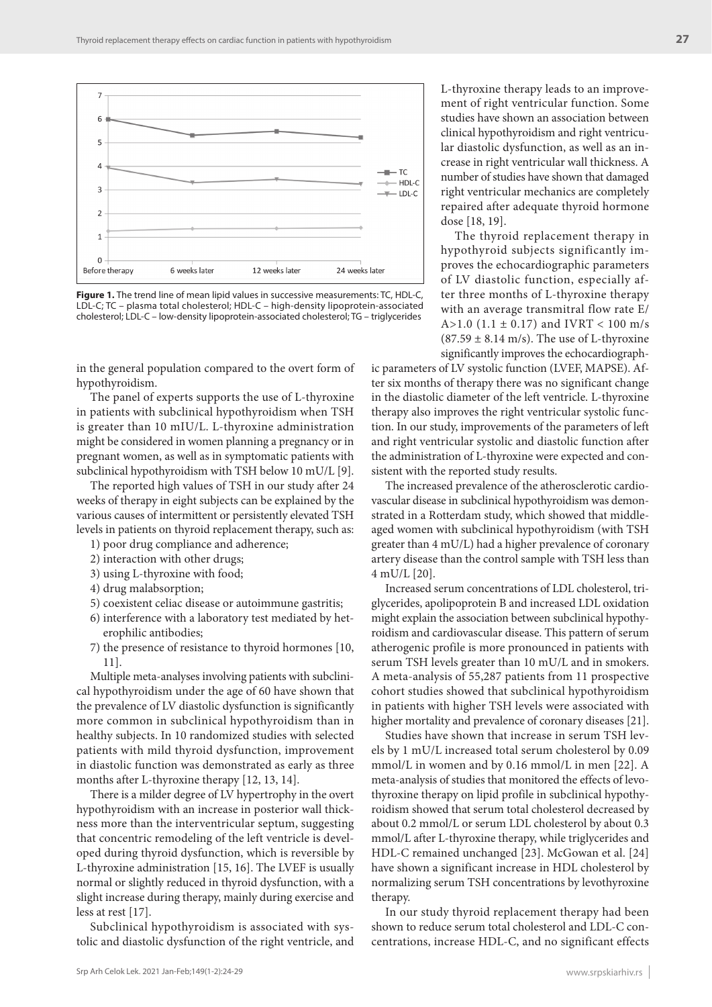

**Figure 1.** The trend line of mean lipid values in successive measurements: TC, HDL-C, LDL-C; TC – plasma total cholesterol; HDL-C – high-density lipoprotein-associated cholesterol; LDL-C – low-density lipoprotein-associated cholesterol; TG – triglycerides

in the general population compared to the overt form of hypothyroidism.

The panel of experts supports the use of L-thyroxine in patients with subclinical hypothyroidism when TSH is greater than 10 mIU/L. L-thyroxine administration might be considered in women planning a pregnancy or in pregnant women, as well as in symptomatic patients with subclinical hypothyroidism with TSH below 10 mU/L [9].

The reported high values of TSH in our study after 24 weeks of therapy in eight subjects can be explained by the various causes of intermittent or persistently elevated TSH levels in patients on thyroid replacement therapy, such as:

- 1) poor drug compliance and adherence;
- 2) interaction with other drugs;
- 3) using L-thyroxine with food;
- 4) drug malabsorption;
- 5) coexistent celiac disease or autoimmune gastritis;
- 6) interference with a laboratory test mediated by heterophilic antibodies;
- 7) the presence of resistance to thyroid hormones [10, 11].

Multiple meta-analyses involving patients with subclinical hypothyroidism under the age of 60 have shown that the prevalence of LV diastolic dysfunction is significantly more common in subclinical hypothyroidism than in healthy subjects. In 10 randomized studies with selected patients with mild thyroid dysfunction, improvement in diastolic function was demonstrated as early as three months after L-thyroxine therapy [12, 13, 14].

There is a milder degree of LV hypertrophy in the overt hypothyroidism with an increase in posterior wall thickness more than the interventricular septum, suggesting that concentric remodeling of the left ventricle is developed during thyroid dysfunction, which is reversible by L-thyroxine administration [15, 16]. The LVEF is usually normal or slightly reduced in thyroid dysfunction, with a slight increase during therapy, mainly during exercise and less at rest [17].

Subclinical hypothyroidism is associated with systolic and diastolic dysfunction of the right ventricle, and L-thyroxine therapy leads to an improvement of right ventricular function. Some studies have shown an association between clinical hypothyroidism and right ventricular diastolic dysfunction, as well as an increase in right ventricular wall thickness. A number of studies have shown that damaged right ventricular mechanics are completely repaired after adequate thyroid hormone dose [18, 19].

The thyroid replacement therapy in hypothyroid subjects significantly improves the echocardiographic parameters of LV diastolic function, especially after three months of L-thyroxine therapy with an average transmitral flow rate E/ A>1.0 (1.1  $\pm$  0.17) and IVRT < 100 m/s  $(87.59 \pm 8.14 \text{ m/s})$ . The use of L-thyroxine significantly improves the echocardiograph-

ic parameters of LV systolic function (LVEF, MAPSE). After six months of therapy there was no significant change in the diastolic diameter of the left ventricle. L-thyroxine therapy also improves the right ventricular systolic function. In our study, improvements of the parameters of left and right ventricular systolic and diastolic function after the administration of L-thyroxine were expected and consistent with the reported study results.

The increased prevalence of the atherosclerotic cardiovascular disease in subclinical hypothyroidism was demonstrated in a Rotterdam study, which showed that middleaged women with subclinical hypothyroidism (with TSH greater than 4 mU/L) had a higher prevalence of coronary artery disease than the control sample with TSH less than 4 mU/L [20].

Increased serum concentrations of LDL cholesterol, triglycerides, apolipoprotein B and increased LDL oxidation might explain the association between subclinical hypothyroidism and cardiovascular disease. This pattern of serum atherogenic profile is more pronounced in patients with serum TSH levels greater than 10 mU/L and in smokers. A meta-analysis of 55,287 patients from 11 prospective cohort studies showed that subclinical hypothyroidism in patients with higher TSH levels were associated with higher mortality and prevalence of coronary diseases [21].

Studies have shown that increase in serum TSH levels by 1 mU/L increased total serum cholesterol by 0.09 mmol/L in women and by 0.16 mmol/L in men [22]. A meta-analysis of studies that monitored the effects of levothyroxine therapy on lipid profile in subclinical hypothyroidism showed that serum total cholesterol decreased by about 0.2 mmol/L or serum LDL cholesterol by about 0.3 mmol/L after L-thyroxine therapy, while triglycerides and HDL-C remained unchanged [23]. McGowan et al. [24] have shown a significant increase in HDL cholesterol by normalizing serum TSH concentrations by levothyroxine therapy.

In our study thyroid replacement therapy had been shown to reduce serum total cholesterol and LDL-C concentrations, increase HDL-C, and no significant effects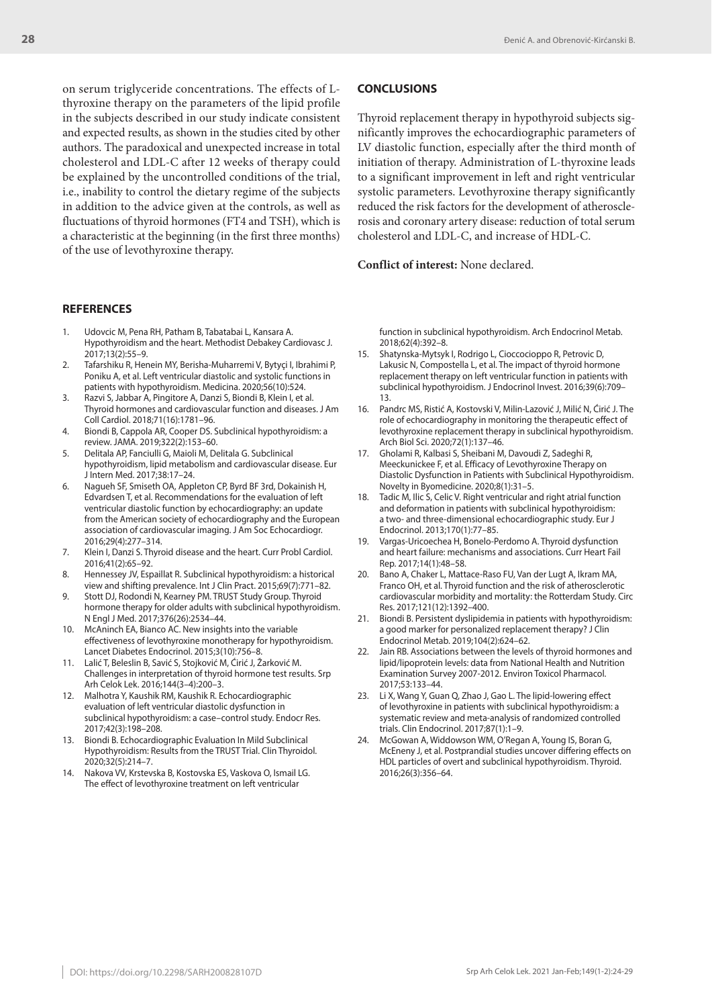on serum triglyceride concentrations. The effects of Lthyroxine therapy on the parameters of the lipid profile in the subjects described in our study indicate consistent and expected results, as shown in the studies cited by other authors. The paradoxical and unexpected increase in total cholesterol and LDL-C after 12 weeks of therapy could be explained by the uncontrolled conditions of the trial, i.e., inability to control the dietary regime of the subjects in addition to the advice given at the controls, as well as fluctuations of thyroid hormones (FT4 and TSH), which is a characteristic at the beginning (in the first three months) of the use of levothyroxine therapy.

#### **REFERENCES**

- 1. Udovcic M, Pena RH, Patham B, Tabatabai L, Kansara A. Hypothyroidism and the heart. Methodist Debakey Cardiovasc J. 2017;13(2):55–9.
- 2. Tafarshiku R, Henein MY, Berisha-Muharremi V, Bytyçi I, Ibrahimi P, Poniku A, et al. Left ventricular diastolic and systolic functions in patients with hypothyroidism. Medicina. 2020;56(10):524.
- 3. Razvi S, Jabbar A, Pingitore A, Danzi S, Biondi B, Klein I, et al. Thyroid hormones and cardiovascular function and diseases. J Am Coll Cardiol. 2018;71(16):1781–96.
- 4. Biondi B, Cappola AR, Cooper DS. Subclinical hypothyroidism: a review. JAMA. 2019;322(2):153–60.
- 5. Delitala AP, Fanciulli G, Maioli M, Delitala G. Subclinical hypothyroidism, lipid metabolism and cardiovascular disease. Eur J Intern Med. 2017;38:17–24.
- 6. Nagueh SF, Smiseth OA, Appleton CP, Byrd BF 3rd, Dokainish H, Edvardsen T, еt al. Recommendations for the evaluation of left ventricular diastolic function by echocardiography: an update from the American society of echocardiography and the European association of cardiovascular imaging. J Am Soc Echocardiogr. 2016;29(4):277–314.
- 7. Klein I, Danzi S. Thyroid disease and the heart. Curr Probl Cardiol. 2016;41(2):65–92.
- 8. Hennessey JV, Espaillat R. Subclinical hypothyroidism: a historical view and shifting prevalence. Int J Clin Pract. 2015;69(7):771–82.
- Stott DJ, Rodondi N, Kearney PM. TRUST Study Group. Thyroid hormone therapy for older adults with subclinical hypothyroidism. N Engl J Med. 2017;376(26):2534–44.
- 10. McAninch EA, Bianco AC. New insights into the variable effectiveness of levothyroxine monotherapy for hypothyroidism. Lancet Diabetes Endocrinol. 2015;3(10):756–8.
- 11. Lalić T, Beleslin B, Savić S, Stojković M, Ćirić J, Žarković M. Challenges in interpretation of thyroid hormone test results. Srp Arh Celok Lek. 2016;144(3–4):200–3.
- 12. Malhotra Y, Kaushik RM, Kaushik R. Echocardiographic evaluation of left ventricular diastolic dysfunction in subclinical hypothyroidism: a case–control study. Endocr Res. 2017;42(3):198–208.
- 13. Biondi B. Echocardiographic Evaluation In Mild Subclinical Hypothyroidism: Results from the TRUST Trial. Clin Thyroidol. 2020;32(5):214–7.
- 14. Nakova VV, Krstevska B, Kostovska ES, Vaskova O, Ismail LG. The effect of levothyroxine treatment on left ventricular

#### **CONCLUSIONS**

Thyroid replacement therapy in hypothyroid subjects significantly improves the echocardiographic parameters of LV diastolic function, especially after the third month of initiation of therapy. Administration of L-thyroxine leads to a significant improvement in left and right ventricular systolic parameters. Levothyroxine therapy significantly reduced the risk factors for the development of atherosclerosis and coronary artery disease: reduction of total serum cholesterol and LDL-C, and increase of HDL-C.

**Conflict of interest:** None declared.

function in subclinical hypothyroidism. Arch Endocrinol Metab. 2018;62(4):392–8.

- 15. Shatynska-Mytsyk I, Rodrigo L, Cioccocioppo R, Petrovic D, Lakusic N, Compostella L, et al. The impact of thyroid hormone replacement therapy on left ventricular function in patients with subclinical hypothyroidism. J Endocrinol Invest. 2016;39(6):709– 13.
- 16. Pandrc MS, Ristić A, Kostovski V, Milin-Lazović J, Milić N, Ćirić J. The role of echocardiography in monitoring the therapeutic effect of levothyroxine replacement therapy in subclinical hypothyroidism. Arch Biol Sci. 2020;72(1):137–46.
- 17. Gholami R, Kalbasi S, Sheibani M, Davoudi Z, Sadeghi R, Meeckunickee F, et al. Efficacy of Levothyroxine Therapy on Diastolic Dysfunction in Patients with Subclinical Hypothyroidism. Novelty in Byomedicine. 2020;8(1):31–5.
- 18. Tadic M, Ilic S, Celic V. Right ventricular and right atrial function and deformation in patients with subclinical hypothyroidism: a two- and three-dimensional echocardiographic study. Eur J Endocrinol. 2013;170(1):77–85.
- 19. Vargas-Uricoechea H, Bonelo-Perdomo A. Thyroid dysfunction and heart failure: mechanisms and associations. Curr Heart Fail Rep. 2017;14(1):48–58.
- 20. Bano A, Chaker L, Mattace-Raso FU, Van der Lugt A, Ikram MA, Franco OH, et al. Thyroid function and the risk of atherosclerotic cardiovascular morbidity and mortality: the Rotterdam Study. Circ Res. 2017;121(12):1392–400.
- 21. Biondi B. Persistent dyslipidemia in patients with hypothyroidism: a good marker for personalized replacement therapy? J Clin Endocrinol Metab. 2019;104(2):624–62.
- 22. Jain RB. Associations between the levels of thyroid hormones and lipid/lipoprotein levels: data from National Health and Nutrition Examination Survey 2007-2012. Environ Toxicol Pharmacol. 2017;53:133–44.
- 23. Li X, Wang Y, Guan Q, Zhao J, Gao L. The lipid-lowering effect of levothyroxine in patients with subclinical hypothyroidism: a systematic review and meta-analysis of randomized controlled trials. Clin Endocrinol. 2017;87(1):1–9.
- 24. McGowan A, Widdowson WM, O'Regan A, Young IS, Boran G, McEneny J, et al. Postprandial studies uncover differing effects on HDL particles of overt and subclinical hypothyroidism. Thyroid. 2016;26(3):356–64.